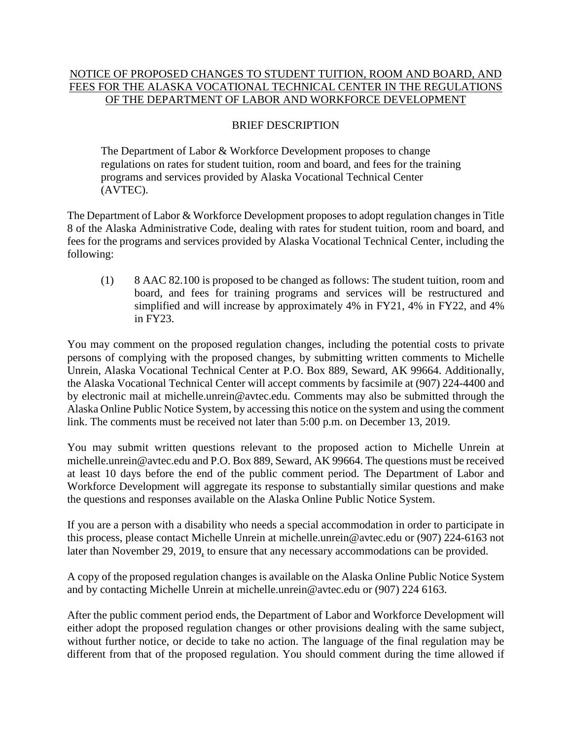## NOTICE OF PROPOSED CHANGES TO STUDENT TUITION, ROOM AND BOARD, AND FEES FOR THE ALASKA VOCATIONAL TECHNICAL CENTER IN THE REGULATIONS OF THE DEPARTMENT OF LABOR AND WORKFORCE DEVELOPMENT

## BRIEF DESCRIPTION

The Department of Labor & Workforce Development proposes to change regulations on rates for student tuition, room and board, and fees for the training programs and services provided by Alaska Vocational Technical Center (AVTEC).

The Department of Labor & Workforce Development proposes to adopt regulation changes in Title 8 of the Alaska Administrative Code, dealing with rates for student tuition, room and board, and fees for the programs and services provided by Alaska Vocational Technical Center, including the following:

(1) 8 AAC 82.100 is proposed to be changed as follows: The student tuition, room and board, and fees for training programs and services will be restructured and simplified and will increase by approximately 4% in FY21, 4% in FY22, and 4% in FY23.

You may comment on the proposed regulation changes, including the potential costs to private persons of complying with the proposed changes, by submitting written comments to Michelle Unrein, Alaska Vocational Technical Center at P.O. Box 889, Seward, AK 99664. Additionally, the Alaska Vocational Technical Center will accept comments by facsimile at (907) 224-4400 and by electronic mail at michelle.unrein@avtec.edu. Comments may also be submitted through the Alaska Online Public Notice System, by accessing this notice on the system and using the comment link. The comments must be received not later than 5:00 p.m. on December 13, 2019.

You may submit written questions relevant to the proposed action to Michelle Unrein at [michelle.unrein@avtec.edu](mailto:michelle.unrein@avtec.edu) and P.O. Box 889, Seward, AK 99664. The questions must be received at least 10 days before the end of the public comment period. The Department of Labor and Workforce Development will aggregate its response to substantially similar questions and make the questions and responses available on the Alaska Online Public Notice System.

If you are a person with a disability who needs a special accommodation in order to participate in this process, please contact Michelle Unrein at [michelle.unrein@avtec.edu](mailto:michelle.unrein@avtec.edu) or (907) 224-6163 not later than November 29, 2019, to ensure that any necessary accommodations can be provided.

A copy of the proposed regulation changes is available on the Alaska Online Public Notice System and by contacting Michelle Unrein at [michelle.unrein@avtec.edu](mailto:michelle.unrein@avtec.edu) or (907) 224 6163.

After the public comment period ends, the Department of Labor and Workforce Development will either adopt the proposed regulation changes or other provisions dealing with the same subject, without further notice, or decide to take no action. The language of the final regulation may be different from that of the proposed regulation. You should comment during the time allowed if